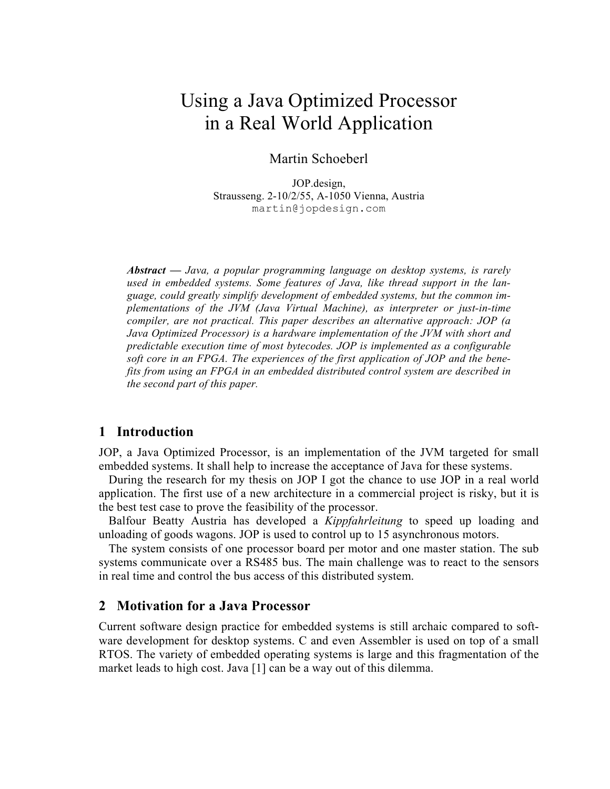# Using a Java Optimized Processor in a Real World Application

#### Martin Schoeberl

JOP.design, Strausseng. 2-10/2/55, A-1050 Vienna, Austria martin@jopdesign.com

*Abstract — Java, a popular programming language on desktop systems, is rarely used in embedded systems. Some features of Java, like thread support in the language, could greatly simplify development of embedded systems, but the common implementations of the JVM (Java Virtual Machine), as interpreter or just-in-time compiler, are not practical. This paper describes an alternative approach: JOP (a Java Optimized Processor) is a hardware implementation of the JVM with short and predictable execution time of most bytecodes. JOP is implemented as a configurable soft core in an FPGA. The experiences of the first application of JOP and the benefits from using an FPGA in an embedded distributed control system are described in the second part of this paper.*

#### **1 Introduction**

JOP, a Java Optimized Processor, is an implementation of the JVM targeted for small embedded systems. It shall help to increase the acceptance of Java for these systems.

During the research for my thesis on JOP I got the chance to use JOP in a real world application. The first use of a new architecture in a commercial project is risky, but it is the best test case to prove the feasibility of the processor.

Balfour Beatty Austria has developed a *Kippfahrleitung* to speed up loading and unloading of goods wagons. JOP is used to control up to 15 asynchronous motors.

The system consists of one processor board per motor and one master station. The sub systems communicate over a RS485 bus. The main challenge was to react to the sensors in real time and control the bus access of this distributed system.

#### **2 Motivation for a Java Processor**

Current software design practice for embedded systems is still archaic compared to software development for desktop systems. C and even Assembler is used on top of a small RTOS. The variety of embedded operating systems is large and this fragmentation of the market leads to high cost. Java [1] can be a way out of this dilemma.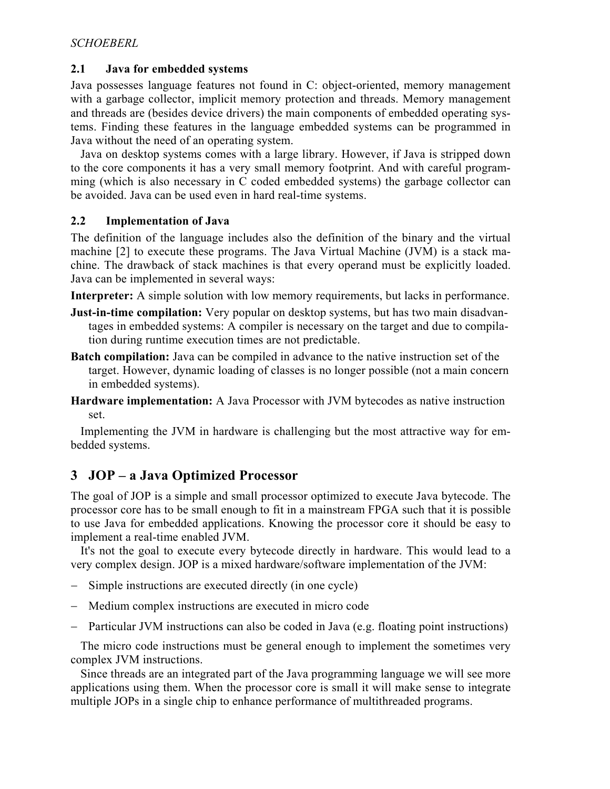### **2.1 Java for embedded systems**

Java possesses language features not found in C: object-oriented, memory management with a garbage collector, implicit memory protection and threads. Memory management and threads are (besides device drivers) the main components of embedded operating systems. Finding these features in the language embedded systems can be programmed in Java without the need of an operating system.

Java on desktop systems comes with a large library. However, if Java is stripped down to the core components it has a very small memory footprint. And with careful programming (which is also necessary in C coded embedded systems) the garbage collector can be avoided. Java can be used even in hard real-time systems.

### **2.2 Implementation of Java**

The definition of the language includes also the definition of the binary and the virtual machine [2] to execute these programs. The Java Virtual Machine (JVM) is a stack machine. The drawback of stack machines is that every operand must be explicitly loaded. Java can be implemented in several ways:

**Interpreter:** A simple solution with low memory requirements, but lacks in performance.

- **Just-in-time compilation:** Very popular on desktop systems, but has two main disadvantages in embedded systems: A compiler is necessary on the target and due to compilation during runtime execution times are not predictable.
- **Batch compilation:** Java can be compiled in advance to the native instruction set of the target. However, dynamic loading of classes is no longer possible (not a main concern in embedded systems).
- **Hardware implementation:** A Java Processor with JVM bytecodes as native instruction set.

Implementing the JVM in hardware is challenging but the most attractive way for embedded systems.

# **3 JOP – a Java Optimized Processor**

The goal of JOP is a simple and small processor optimized to execute Java bytecode. The processor core has to be small enough to fit in a mainstream FPGA such that it is possible to use Java for embedded applications. Knowing the processor core it should be easy to implement a real-time enabled JVM.

It's not the goal to execute every bytecode directly in hardware. This would lead to a very complex design. JOP is a mixed hardware/software implementation of the JVM:

- − Simple instructions are executed directly (in one cycle)
- − Medium complex instructions are executed in micro code
- − Particular JVM instructions can also be coded in Java (e.g. floating point instructions)

The micro code instructions must be general enough to implement the sometimes very complex JVM instructions.

Since threads are an integrated part of the Java programming language we will see more applications using them. When the processor core is small it will make sense to integrate multiple JOPs in a single chip to enhance performance of multithreaded programs.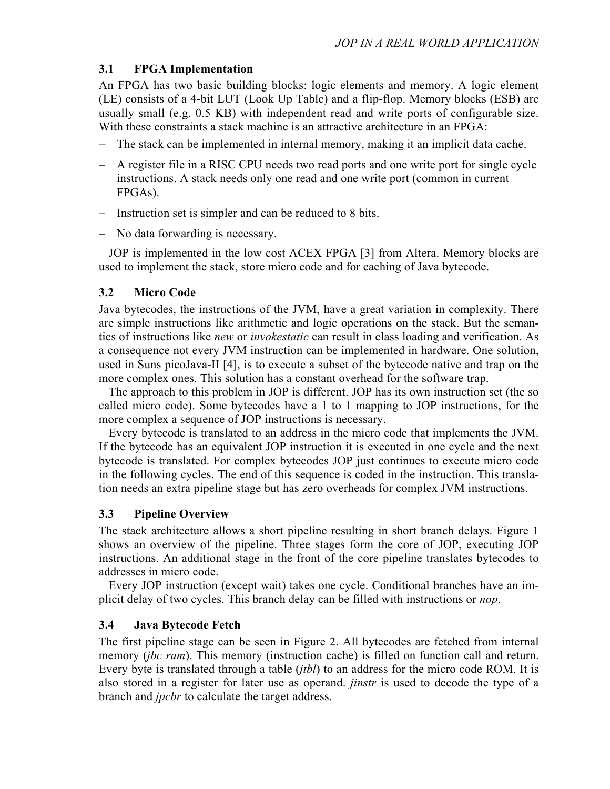## **3.1 FPGA Implementation**

An FPGA has two basic building blocks: logic elements and memory. A logic element (LE) consists of a 4-bit LUT (Look Up Table) and a flip-flop. Memory blocks (ESB) are usually small (e.g. 0.5 KB) with independent read and write ports of configurable size. With these constraints a stack machine is an attractive architecture in an FPGA:

- − The stack can be implemented in internal memory, making it an implicit data cache.
- − A register file in a RISC CPU needs two read ports and one write port for single cycle instructions. A stack needs only one read and one write port (common in current FPGAs).
- − Instruction set is simpler and can be reduced to 8 bits.
- − No data forwarding is necessary.

JOP is implemented in the low cost ACEX FPGA [3] from Altera. Memory blocks are used to implement the stack, store micro code and for caching of Java bytecode.

## **3.2 Micro Code**

Java bytecodes, the instructions of the JVM, have a great variation in complexity. There are simple instructions like arithmetic and logic operations on the stack. But the semantics of instructions like *new* or *invokestatic* can result in class loading and verification. As a consequence not every JVM instruction can be implemented in hardware. One solution, used in Suns picoJava-II [4], is to execute a subset of the bytecode native and trap on the more complex ones. This solution has a constant overhead for the software trap.

The approach to this problem in JOP is different. JOP has its own instruction set (the so called micro code). Some bytecodes have a 1 to 1 mapping to JOP instructions, for the more complex a sequence of JOP instructions is necessary.

Every bytecode is translated to an address in the micro code that implements the JVM. If the bytecode has an equivalent JOP instruction it is executed in one cycle and the next bytecode is translated. For complex bytecodes JOP just continues to execute micro code in the following cycles. The end of this sequence is coded in the instruction. This translation needs an extra pipeline stage but has zero overheads for complex JVM instructions.

# **3.3 Pipeline Overview**

The stack architecture allows a short pipeline resulting in short branch delays. Figure 1 shows an overview of the pipeline. Three stages form the core of JOP, executing JOP instructions. An additional stage in the front of the core pipeline translates bytecodes to addresses in micro code.

Every JOP instruction (except wait) takes one cycle. Conditional branches have an implicit delay of two cycles. This branch delay can be filled with instructions or *nop*.

# **3.4 Java Bytecode Fetch**

The first pipeline stage can be seen in Figure 2. All bytecodes are fetched from internal memory (*jbc ram*). This memory (instruction cache) is filled on function call and return. Every byte is translated through a table (*jtbl*) to an address for the micro code ROM. It is also stored in a register for later use as operand. *jinstr* is used to decode the type of a branch and *jpcbr* to calculate the target address.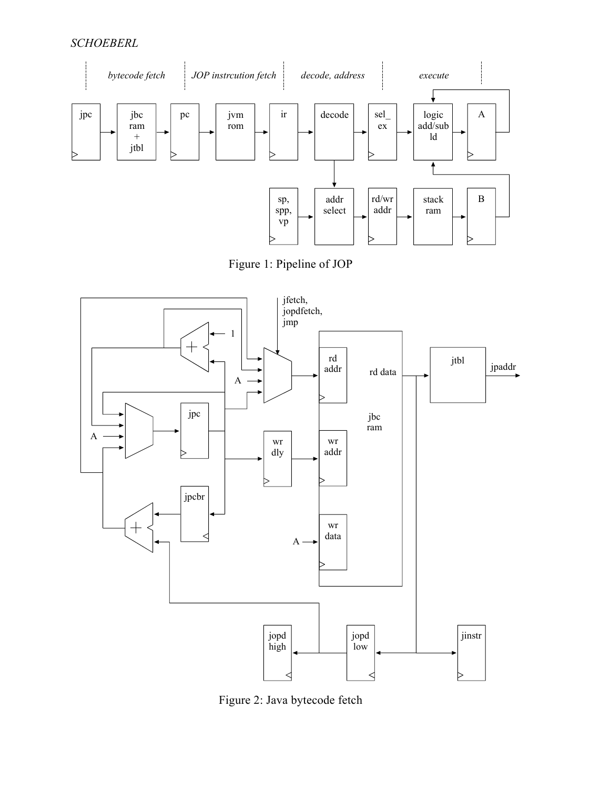## *SCHOEBERL*



Figure 1: Pipeline of JOP



Figure 2: Java bytecode fetch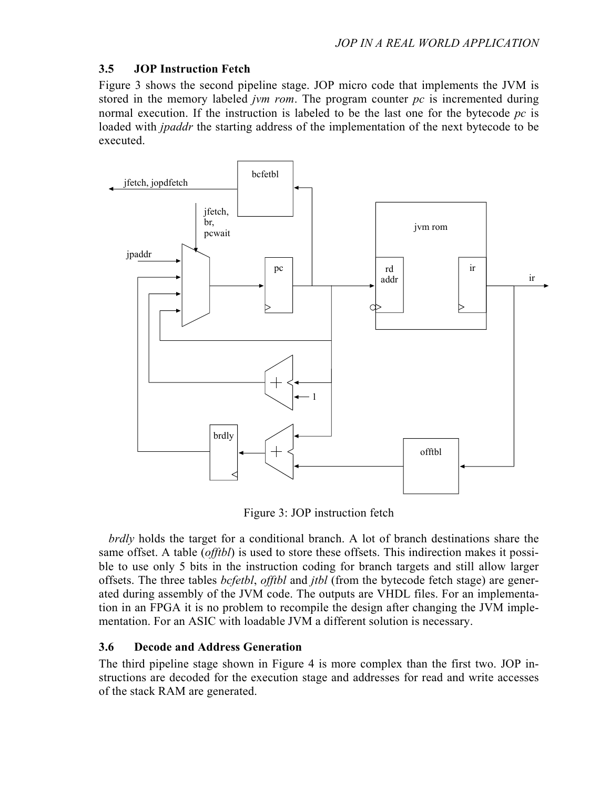## **3.5 JOP Instruction Fetch**

Figure 3 shows the second pipeline stage. JOP micro code that implements the JVM is stored in the memory labeled *jvm rom*. The program counter *pc* is incremented during normal execution. If the instruction is labeled to be the last one for the bytecode *pc* is loaded with *jpaddr* the starting address of the implementation of the next bytecode to be executed.



Figure 3: JOP instruction fetch

*brdly* holds the target for a conditional branch. A lot of branch destinations share the same offset. A table (*offtbl*) is used to store these offsets. This indirection makes it possible to use only 5 bits in the instruction coding for branch targets and still allow larger offsets. The three tables *bcfetbl*, *offtbl* and *jtbl* (from the bytecode fetch stage) are generated during assembly of the JVM code. The outputs are VHDL files. For an implementation in an FPGA it is no problem to recompile the design after changing the JVM implementation. For an ASIC with loadable JVM a different solution is necessary.

# **3.6 Decode and Address Generation**

The third pipeline stage shown in Figure 4 is more complex than the first two. JOP instructions are decoded for the execution stage and addresses for read and write accesses of the stack RAM are generated.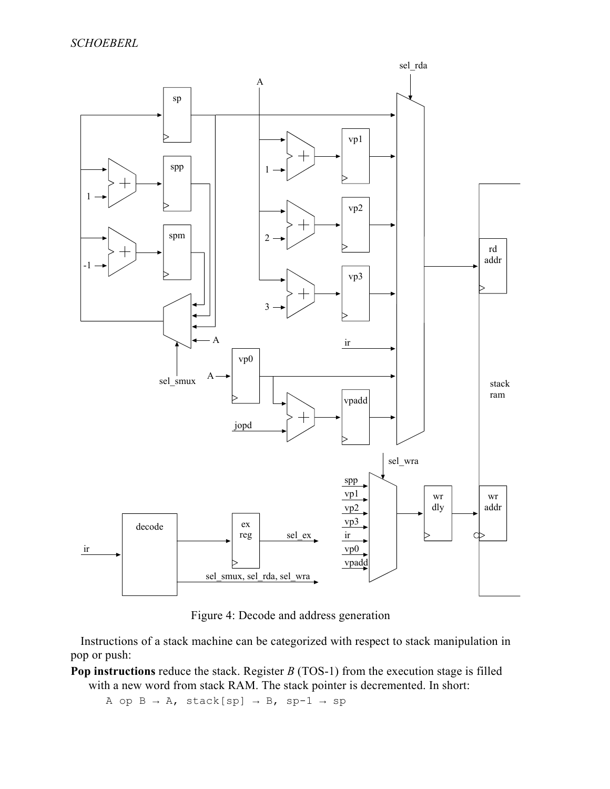

Figure 4: Decode and address generation

Instructions of a stack machine can be categorized with respect to stack manipulation in pop or push:

**Pop instructions** reduce the stack. Register *B* (TOS-1) from the execution stage is filled with a new word from stack RAM. The stack pointer is decremented. In short:

A op  $B \rightarrow A$ , stack[sp]  $\rightarrow B$ , sp-1  $\rightarrow$  sp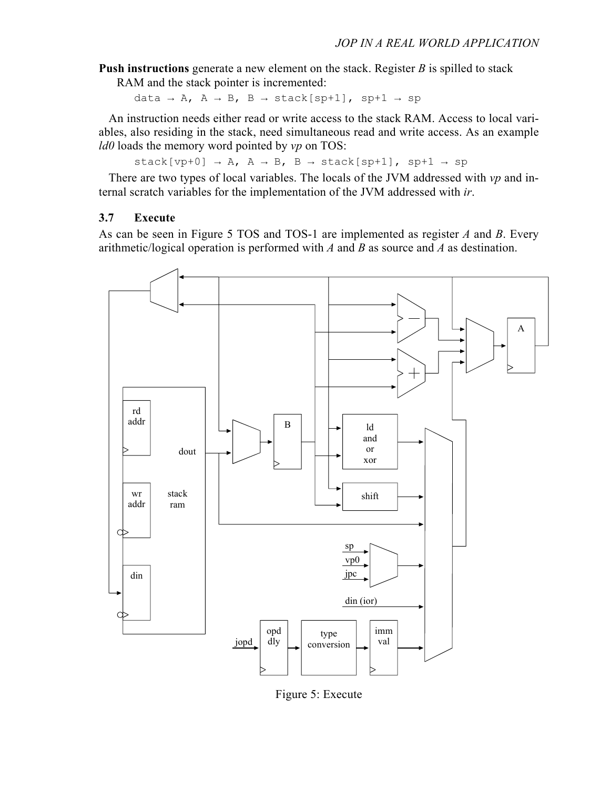**Push instructions** generate a new element on the stack. Register *B* is spilled to stack

RAM and the stack pointer is incremented:

data → A, A → B, B → stack[sp+1], sp+1 → sp

An instruction needs either read or write access to the stack RAM. Access to local variables, also residing in the stack, need simultaneous read and write access. As an example *ld0* loads the memory word pointed by *vp* on TOS:

stack[vp+0]  $\rightarrow$  A, A  $\rightarrow$  B, B  $\rightarrow$  stack[sp+1], sp+1  $\rightarrow$  sp

There are two types of local variables. The locals of the JVM addressed with *vp* and internal scratch variables for the implementation of the JVM addressed with *ir*.

### **3.7 Execute**

As can be seen in Figure 5 TOS and TOS-1 are implemented as register *A* and *B*. Every arithmetic/logical operation is performed with *A* and *B* as source and *A* as destination.



Figure 5: Execute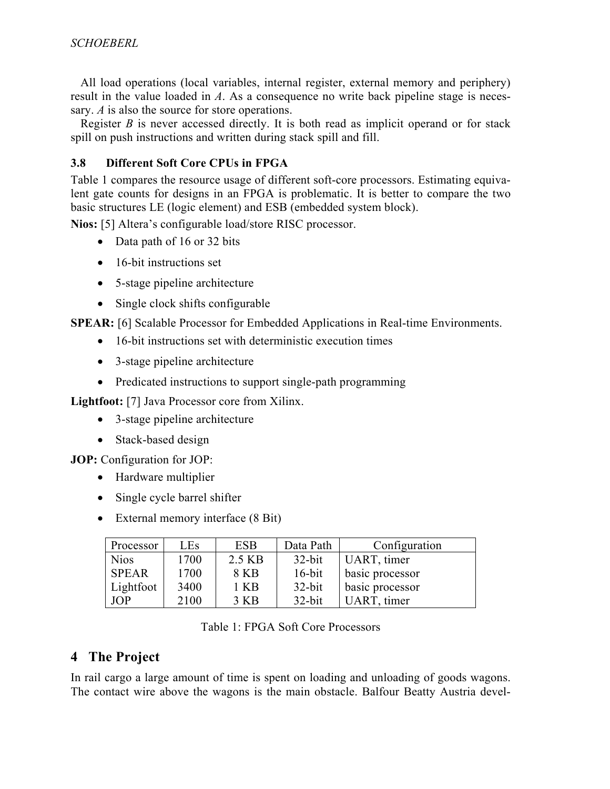All load operations (local variables, internal register, external memory and periphery) result in the value loaded in *A*. As a consequence no write back pipeline stage is necessary. *A* is also the source for store operations.

Register *B* is never accessed directly. It is both read as implicit operand or for stack spill on push instructions and written during stack spill and fill.

## **3.8 Different Soft Core CPUs in FPGA**

Table 1 compares the resource usage of different soft-core processors. Estimating equivalent gate counts for designs in an FPGA is problematic. It is better to compare the two basic structures LE (logic element) and ESB (embedded system block).

**Nios:** [5] Altera's configurable load/store RISC processor.

- Data path of 16 or 32 bits
- 16-bit instructions set
- 5-stage pipeline architecture
- Single clock shifts configurable

**SPEAR:** [6] Scalable Processor for Embedded Applications in Real-time Environments.

- 16-bit instructions set with deterministic execution times
- 3-stage pipeline architecture
- Predicated instructions to support single-path programming

**Lightfoot:** [7] Java Processor core from Xilinx.

- 3-stage pipeline architecture
- Stack-based design

**JOP:** Configuration for JOP:

- Hardware multiplier
- Single cycle barrel shifter
- External memory interface (8 Bit)

| Processor    | <b>LEs</b> | <b>ESB</b> | Data Path | Configuration   |
|--------------|------------|------------|-----------|-----------------|
| <b>Nios</b>  | 1700       | 2.5 KB     | $32$ -bit | UART, timer     |
| <b>SPEAR</b> | 1700       | 8 KB       | $16$ -bit | basic processor |
| Lightfoot    | 3400       | 1 KB       | $32$ -bit | basic processor |
| <b>JOP</b>   | 2100       | 3 KB       | $32$ -bit | UART, timer     |

Table 1: FPGA Soft Core Processors

# **4 The Project**

In rail cargo a large amount of time is spent on loading and unloading of goods wagons. The contact wire above the wagons is the main obstacle. Balfour Beatty Austria devel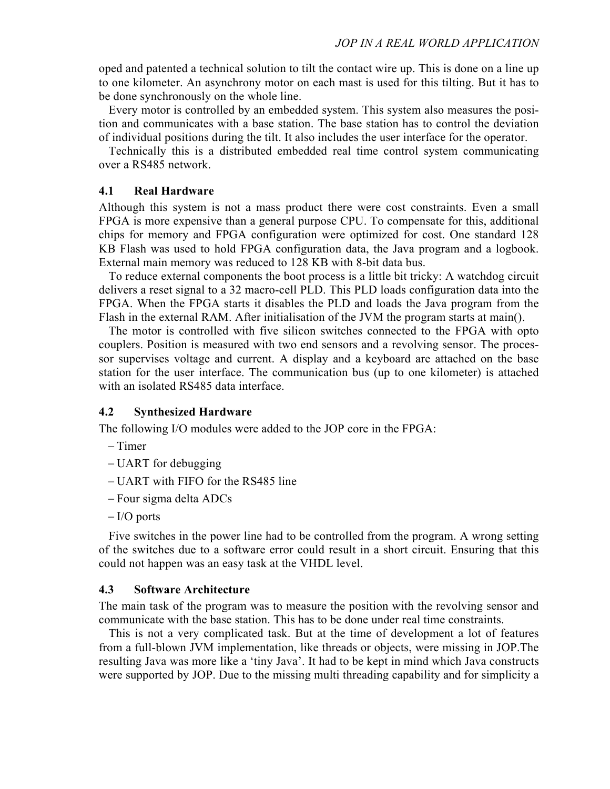oped and patented a technical solution to tilt the contact wire up. This is done on a line up to one kilometer. An asynchrony motor on each mast is used for this tilting. But it has to be done synchronously on the whole line.

Every motor is controlled by an embedded system. This system also measures the position and communicates with a base station. The base station has to control the deviation of individual positions during the tilt. It also includes the user interface for the operator.

Technically this is a distributed embedded real time control system communicating over a RS485 network.

#### **4.1 Real Hardware**

Although this system is not a mass product there were cost constraints. Even a small FPGA is more expensive than a general purpose CPU. To compensate for this, additional chips for memory and FPGA configuration were optimized for cost. One standard 128 KB Flash was used to hold FPGA configuration data, the Java program and a logbook. External main memory was reduced to 128 KB with 8-bit data bus.

To reduce external components the boot process is a little bit tricky: A watchdog circuit delivers a reset signal to a 32 macro-cell PLD. This PLD loads configuration data into the FPGA. When the FPGA starts it disables the PLD and loads the Java program from the Flash in the external RAM. After initialisation of the JVM the program starts at main().

The motor is controlled with five silicon switches connected to the FPGA with opto couplers. Position is measured with two end sensors and a revolving sensor. The processor supervises voltage and current. A display and a keyboard are attached on the base station for the user interface. The communication bus (up to one kilometer) is attached with an isolated RS485 data interface.

#### **4.2 Synthesized Hardware**

The following I/O modules were added to the JOP core in the FPGA:

- − Timer
- − UART for debugging
- − UART with FIFO for the RS485 line
- − Four sigma delta ADCs
- − I/O ports

Five switches in the power line had to be controlled from the program. A wrong setting of the switches due to a software error could result in a short circuit. Ensuring that this could not happen was an easy task at the VHDL level.

#### **4.3 Software Architecture**

The main task of the program was to measure the position with the revolving sensor and communicate with the base station. This has to be done under real time constraints.

This is not a very complicated task. But at the time of development a lot of features from a full-blown JVM implementation, like threads or objects, were missing in JOP.The resulting Java was more like a 'tiny Java'. It had to be kept in mind which Java constructs were supported by JOP. Due to the missing multi threading capability and for simplicity a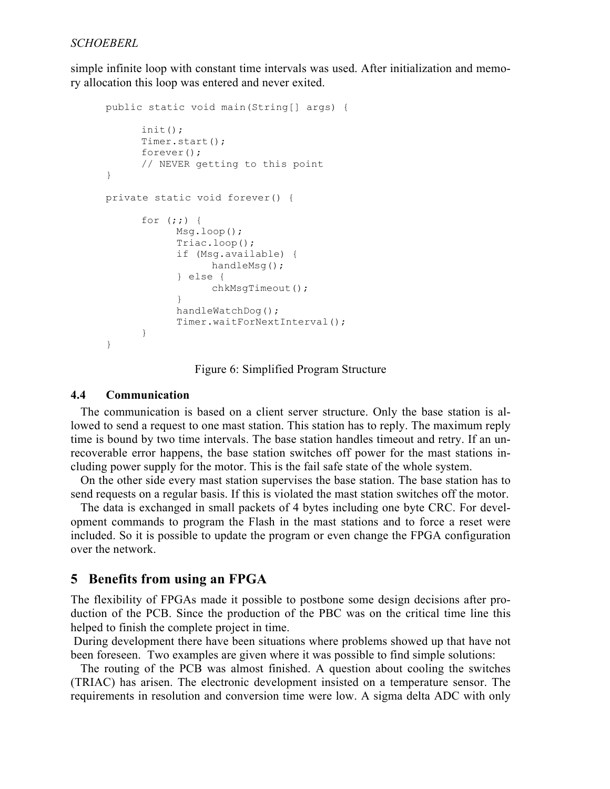simple infinite loop with constant time intervals was used. After initialization and memory allocation this loop was entered and never exited.

```
 public static void main(String[] args) { 
          init(); 
          Timer.start(); 
          forever(); 
          // NEVER getting to this point 
    } 
    private static void forever() { 
         for (i; j) {
                Msg.loop(); 
                Triac.loop(); 
                if (Msg.available) { 
                      handleMsg(); 
                } else { 
                      chkMsgTimeout(); 
} 
                handleWatchDog(); 
                Timer.waitForNextInterval(); 
} 
    }
```
Figure 6: Simplified Program Structure

#### **4.4 Communication**

The communication is based on a client server structure. Only the base station is allowed to send a request to one mast station. This station has to reply. The maximum reply time is bound by two time intervals. The base station handles timeout and retry. If an unrecoverable error happens, the base station switches off power for the mast stations including power supply for the motor. This is the fail safe state of the whole system.

On the other side every mast station supervises the base station. The base station has to send requests on a regular basis. If this is violated the mast station switches off the motor.

The data is exchanged in small packets of 4 bytes including one byte CRC. For development commands to program the Flash in the mast stations and to force a reset were included. So it is possible to update the program or even change the FPGA configuration over the network.

### **5 Benefits from using an FPGA**

The flexibility of FPGAs made it possible to postbone some design decisions after production of the PCB. Since the production of the PBC was on the critical time line this helped to finish the complete project in time.

 During development there have been situations where problems showed up that have not been foreseen. Two examples are given where it was possible to find simple solutions:

The routing of the PCB was almost finished. A question about cooling the switches (TRIAC) has arisen. The electronic development insisted on a temperature sensor. The requirements in resolution and conversion time were low. A sigma delta ADC with only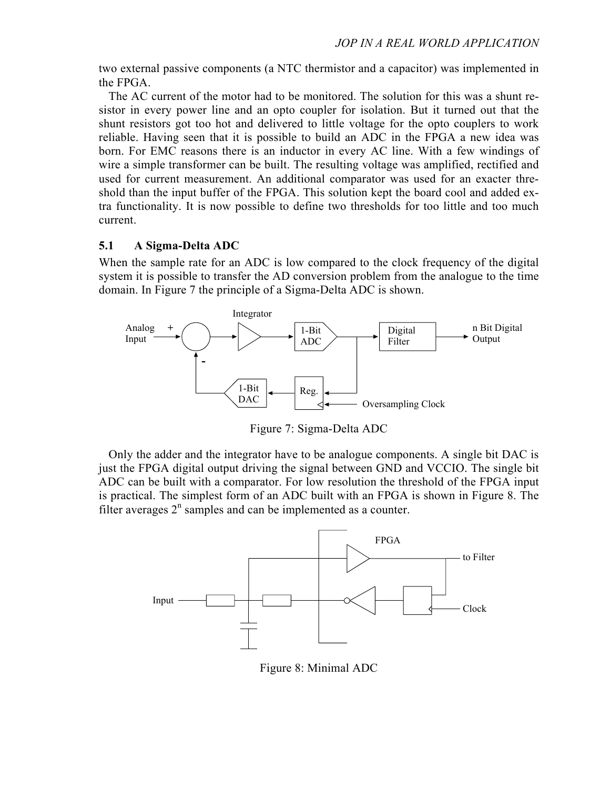two external passive components (a NTC thermistor and a capacitor) was implemented in the FPGA.

The AC current of the motor had to be monitored. The solution for this was a shunt resistor in every power line and an opto coupler for isolation. But it turned out that the shunt resistors got too hot and delivered to little voltage for the opto couplers to work reliable. Having seen that it is possible to build an ADC in the FPGA a new idea was born. For EMC reasons there is an inductor in every AC line. With a few windings of wire a simple transformer can be built. The resulting voltage was amplified, rectified and used for current measurement. An additional comparator was used for an exacter threshold than the input buffer of the FPGA. This solution kept the board cool and added extra functionality. It is now possible to define two thresholds for too little and too much current.

#### **5.1 A Sigma-Delta ADC**

When the sample rate for an ADC is low compared to the clock frequency of the digital system it is possible to transfer the AD conversion problem from the analogue to the time domain. In Figure 7 the principle of a Sigma-Delta ADC is shown.



Figure 7: Sigma-Delta ADC

Only the adder and the integrator have to be analogue components. A single bit DAC is just the FPGA digital output driving the signal between GND and VCCIO. The single bit ADC can be built with a comparator. For low resolution the threshold of the FPGA input is practical. The simplest form of an ADC built with an FPGA is shown in Figure 8. The filter averages  $2<sup>n</sup>$  samples and can be implemented as a counter.



Figure 8: Minimal ADC